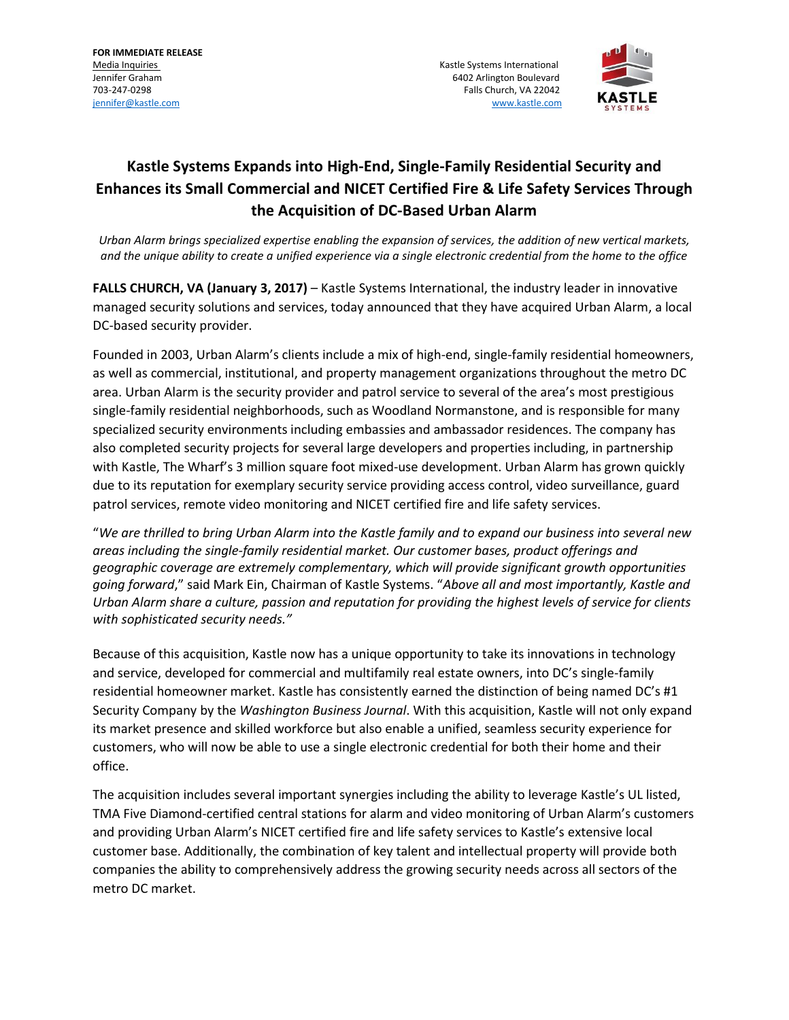**FOR IMMEDIATE RELEASE** 

Media Inquiries **Media Inquiries** Kastle Systems International Active Systems International Active Systems International Jennifer Graham 6402 Arlington Boulevard 703-247-0298 Falls Church, VA 22042 [jennifer@kastle.com](mailto:jennifer@kastle.com) [www.kastle.com](http://www.kastle.com/)



## **Kastle Systems Expands into High-End, Single-Family Residential Security and Enhances its Small Commercial and NICET Certified Fire & Life Safety Services Through the Acquisition of DC-Based Urban Alarm**

*Urban Alarm brings specialized expertise enabling the expansion of services, the addition of new vertical markets, and the unique ability to create a unified experience via a single electronic credential from the home to the office* 

**FALLS CHURCH, VA (January 3, 2017)** – Kastle Systems International, the industry leader in innovative managed security solutions and services, today announced that they have acquired Urban Alarm, a local DC-based security provider.

Founded in 2003, Urban Alarm's clients include a mix of high-end, single-family residential homeowners, as well as commercial, institutional, and property management organizations throughout the metro DC area. Urban Alarm is the security provider and patrol service to several of the area's most prestigious single-family residential neighborhoods, such as Woodland Normanstone, and is responsible for many specialized security environments including embassies and ambassador residences. The company has also completed security projects for several large developers and properties including, in partnership with Kastle, The Wharf's 3 million square foot mixed-use development. Urban Alarm has grown quickly due to its reputation for exemplary security service providing access control, video surveillance, guard patrol services, remote video monitoring and NICET certified fire and life safety services.

"*We are thrilled to bring Urban Alarm into the Kastle family and to expand our business into several new areas including the single-family residential market. Our customer bases, product offerings and geographic coverage are extremely complementary, which will provide significant growth opportunities going forward*," said Mark Ein, Chairman of Kastle Systems. "*Above all and most importantly, Kastle and Urban Alarm share a culture, passion and reputation for providing the highest levels of service for clients with sophisticated security needs."*

Because of this acquisition, Kastle now has a unique opportunity to take its innovations in technology and service, developed for commercial and multifamily real estate owners, into DC's single-family residential homeowner market. Kastle has consistently earned the distinction of being named DC's #1 Security Company by the *Washington Business Journal*. With this acquisition, Kastle will not only expand its market presence and skilled workforce but also enable a unified, seamless security experience for customers, who will now be able to use a single electronic credential for both their home and their office.

The acquisition includes several important synergies including the ability to leverage Kastle's UL listed, TMA Five Diamond-certified central stations for alarm and video monitoring of Urban Alarm's customers and providing Urban Alarm's NICET certified fire and life safety services to Kastle's extensive local customer base. Additionally, the combination of key talent and intellectual property will provide both companies the ability to comprehensively address the growing security needs across all sectors of the metro DC market.